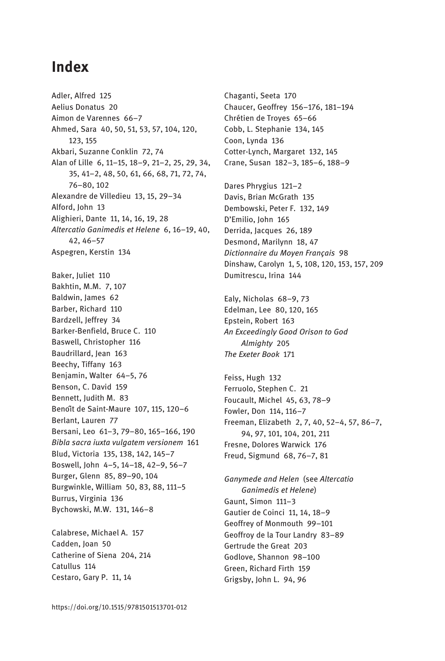## **Index**

Adler, Alfred 125 Aelius Donatus 20 Aimon de Varennes 66-7 Ahmed, Sara 40, 50, 51, 53, 57, 104, 120, 123, 155 Akbari, Suzanne Conklin 72, 74 Alan of Lille 6, 11-15, 18-9, 21-2, 25, 29, 34, 35, 41-2, 48, 50, 61, 66, 68, 71, 72, 74, 76-80.102 Alexandre de Villedieu 13, 15, 29-34 Alford, John 13 Alighieri, Dante 11, 14, 16, 19, 28 Altercatio Ganimedis et Helene 6, 16-19, 40,  $42.46 - 57$ Aspegren, Kerstin 134 Baker, Juliet 110 Bakhtin, M.M. 7, 107 Baldwin, lames 62 Barber, Richard 110 Bardzell, Jeffrey 34 Barker-Benfield, Bruce C. 110 Baswell, Christopher 116 Baudrillard, Jean 163 Beechy, Tiffany 163 Benjamin, Walter 64-5, 76 Benson, C. David 159 Bennett, Judith M. 83 Benoît de Saint-Maure 107, 115, 120-6 Berlant, Lauren 77 Bersani, Leo 61-3, 79-80, 165-166, 190 Bibla sacra iuxta vulgatem versionem 161 Blud, Victoria 135, 138, 142, 145-7 Boswell, John 4-5, 14-18, 42-9, 56-7 Burger, Glenn 85, 89-90, 104 Burgwinkle, William 50, 83, 88, 111-5 Burrus, Virginia 136 Bychowski, M.W. 131, 146-8

Calabrese, Michael A. 157 Cadden, Ioan 50 Catherine of Siena 204, 214 Catullus 114 Cestaro, Gary P. 11, 14

Chaganti, Seeta 170 Chaucer, Geoffrey 156-176, 181-194 Chrétien de Troyes 65-66 Cobb, L. Stephanie 134, 145 Coon, Lynda 136 Cotter-Lynch, Margaret 132, 145 Crane, Susan 182-3, 185-6, 188-9

Dares Phrygius 121-2 Davis, Brian McGrath 135 Dembowski, Peter F. 132, 149 D'Emilio, John 165 Derrida, Jacques 26, 189 Desmond, Marilynn 18, 47 Dictionnaire du Moven Français 98 Dinshaw, Carolyn 1, 5, 108, 120, 153, 157, 209 Dumitrescu, Irina 144

Ealy, Nicholas 68-9, 73 Edelman, Lee 80, 120, 165 Epstein, Robert 163 An Exceedingly Good Orison to God Almighty 205 The Exeter Book 171

Feiss, Hugh 132 Ferruolo, Stephen C. 21 Foucault, Michel 45, 63, 78-9 Fowler, Don 114, 116-7 Freeman, Elizabeth 2, 7, 40, 52-4, 57, 86-7, 94, 97, 101, 104, 201, 211 Fresne, Dolores Warwick 176 Freud, Sigmund 68, 76-7, 81

Ganymede and Helen (see Altercatio Ganimedis et Helene) Gaunt, Simon 111-3 Gautier de Coinci 11, 14, 18-9 Geoffrey of Monmouth 99-101 Geoffroy de la Tour Landry 83-89 Gertrude the Great 203 Godlove, Shannon 98-100 Green, Richard Firth 159 Grigsby, John L. 94, 96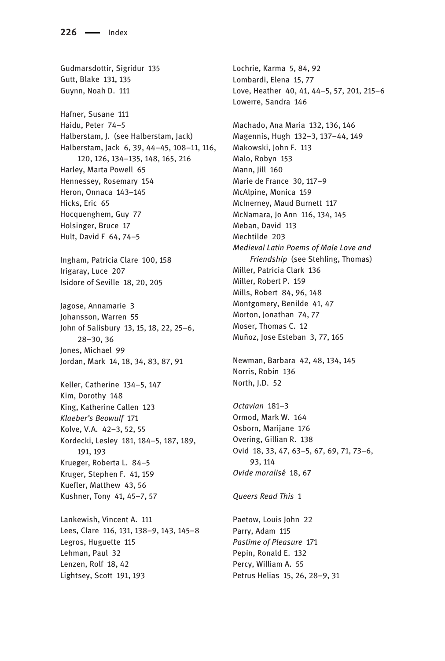Gudmarsdottir, Sigridur 135 Gutt, Blake 131, 135 Guynn, Noah D. 111 Hafner, Susane 111 Haidu, Peter 74-5 Halberstam, J. (see Halberstam, Jack) Halberstam, Jack 6, 39, 44-45, 108-11, 116, 120, 126, 134-135, 148, 165, 216 Harley, Marta Powell 65 Hennessey, Rosemary 154 Heron, Onnaca 143-145 Hicks, Eric 65 Hocquenghem, Guy 77 Holsinger, Bruce 17 Hult, David F 64, 74-5 Ingham, Patricia Clare 100, 158 Irigaray, Luce 207 Isidore of Seville 18, 20, 205 Jagose, Annamarie 3 Johansson, Warren 55 John of Salisbury 13, 15, 18, 22, 25-6,  $28 - 30.36$ Jones, Michael 99 Jordan, Mark 14, 18, 34, 83, 87, 91 Keller, Catherine 134-5, 147 Kim, Dorothy 148 King, Katherine Callen 123 Klaeber's Beowulf 171 Kolve, V.A. 42-3, 52, 55 Kordecki, Lesley 181, 184-5, 187, 189, 191.193 Krueger, Roberta L. 84-5 Kruger, Stephen F. 41, 159 Kuefler, Matthew 43, 56 Kushner, Tony 41, 45-7, 57 Lankewish, Vincent A. 111 Lees, Clare 116, 131, 138-9, 143, 145-8 Legros, Huguette 115 Lehman, Paul 32

Lenzen, Rolf 18, 42 Lightsey, Scott 191, 193 Lochrie, Karma 5, 84, 92 Lombardi, Elena 15, 77 Love, Heather 40, 41, 44-5, 57, 201, 215-6 Lowerre, Sandra 146 Machado, Ana Maria 132, 136, 146 Magennis, Hugh 132-3, 137-44, 149 Makowski, John F. 113 Malo, Robyn 153 Mann, Jill 160 Marie de France 30, 117-9 McAlpine, Monica 159 McInerney, Maud Burnett 117 McNamara, Jo Ann 116, 134, 145 Meban, David 113 Mechtilde 203 Medieval Latin Poems of Male Love and Friendship (see Stehling, Thomas) Miller, Patricia Clark 136 Miller, Robert P. 159 Mills, Robert 84, 96, 148 Montgomery, Benilde 41, 47 Morton, Jonathan 74, 77 Moser, Thomas C. 12 Muñoz, Jose Esteban 3, 77, 165

Newman, Barbara 42, 48, 134, 145 Norris, Robin 136 North, J.D. 52

Octavian 181-3 Ormod, Mark W. 164 Osborn, Marijane 176 Overing, Gillian R. 138 Ovid 18, 33, 47, 63-5, 67, 69, 71, 73-6, 93.114 Ovide moralisé 18, 67

Queers Read This 1

Paetow, Louis John 22 Parry, Adam 115 Pastime of Pleasure 171 Pepin, Ronald E. 132 Percy, William A. 55 Petrus Helias 15, 26, 28-9, 31